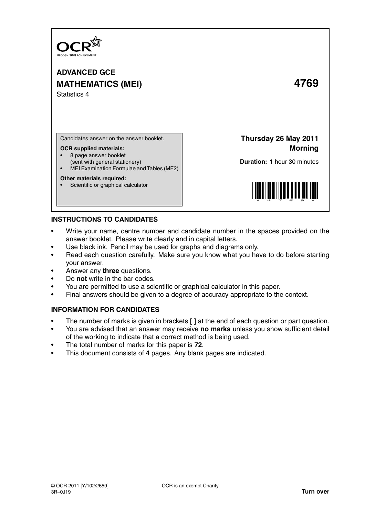

**ADVANCED GCE MATHEMATICS (MEI) 4769** Statistics 4

Candidates answer on the answer booklet.

#### **OCR supplied materials:**

- 8 page answer booklet
- (sent with general stationery)
- MEI Examination Formulae and Tables (MF2)

## **Other materials required:**

Scientific or graphical calculator

**Thursday 26 May 2011 Morning**

**Duration:** 1 hour 30 minutes



# **INSTRUCTIONS TO CANDIDATES**

- Write your name, centre number and candidate number in the spaces provided on the answer booklet. Please write clearly and in capital letters.
- Use black ink. Pencil may be used for graphs and diagrams only.
- Read each question carefully. Make sure you know what you have to do before starting your answer.
- Answer any **three** questions.
- Do **not** write in the bar codes.
- You are permitted to use a scientific or graphical calculator in this paper.
- Final answers should be given to a degree of accuracy appropriate to the context.

# **INFORMATION FOR CANDIDATES**

- The number of marks is given in brackets **[ ]** at the end of each question or part question.
- You are advised that an answer may receive **no marks** unless you show sufficient detail of the working to indicate that a correct method is being used.
- The total number of marks for this paper is **72**.
- This document consists of **4** pages. Any blank pages are indicated.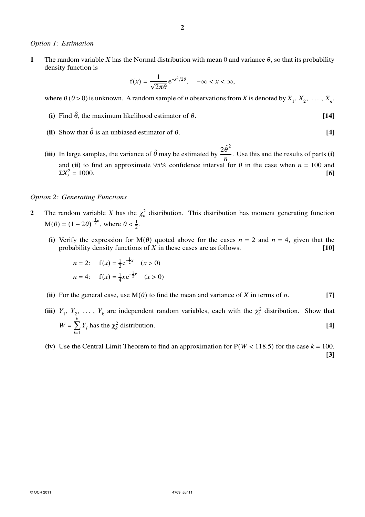## *Option 1: Estimation*

**1** The random variable *X* has the Normal distribution with mean 0 and variance  $\theta$ , so that its probability density function is

$$
f(x) = \frac{1}{\sqrt{2\pi\theta}} e^{-x^2/2\theta}, \quad -\infty < x < \infty,
$$

where  $\theta$  ( $\theta$  > 0) is unknown. A random sample of *n* observations from *X* is denoted by  $X_1, X_2, \ldots, X_n$ .

- (i) Find  $\hat{\theta}$ , the maximum likelihood estimator of  $\theta$ . [14]
- **(ii)** Show that  $\hat{\theta}$  is an unbiased estimator of  $\theta$ . [4]
- **(iii)** In large samples, the variance of  $\hat{\theta}$  may be estimated by  $\frac{2\hat{\theta}^2}{\hat{\theta}^2}$  $\frac{\sigma}{n}$ . Use this and the results of parts **(i)** and **(ii)** to find an approximate 95% confidence interval for  $\theta$  in the case when  $n = 100$  and Σ*X* 2 *i*  $= 1000.$  [6]

## *Option 2: Generating Functions*

- **2** The random variable *X* has the  $\chi^2$  distribution. This distribution has moment generating function  $M(\theta) = (1 - 2\theta)^{-\frac{1}{2}n}$ , where  $\theta < \frac{1}{2}$  $\frac{1}{2}$ .
	- (i) Verify the expression for  $M(\theta)$  quoted above for the cases  $n = 2$  and  $n = 4$ , given that the probability density functions of *X* in these cases are as follows. **[10]**

*n* = 2: 
$$
f(x) = \frac{1}{2}e^{-\frac{1}{2}x}
$$
  $(x > 0)$   
\n*n* = 4:  $f(x) = \frac{1}{4}xe^{-\frac{1}{2}x}$   $(x > 0)$ 

- **(ii)** For the general case, use  $M(\theta)$  to find the mean and variance of *X* in terms of *n*. [7]
- (iii)  $Y_1, Y_2, \ldots, Y_k$  are independent random variables, each with the  $\chi_1^2$  distribution. Show that  $W =$ *k*  $\sum_{i=1} Y_i$  has the  $\chi^2_k$  distribution. **[4]**
- (iv) Use the Central Limit Theorem to find an approximation for  $P(W < 118.5)$  for the case  $k = 100$ . **[3]**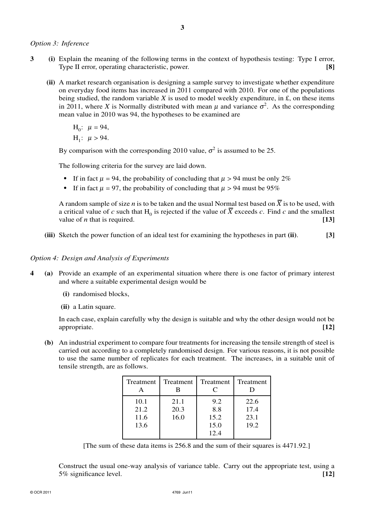*Option 3: Inference*

**3 (i)** Explain the meaning of the following terms in the context of hypothesis testing: Type I error, Type II error, operating characteristic, power. **[8]**

**3**

**(ii)** A market research organisation is designing a sample survey to investigate whether expenditure on everyday food items has increased in 2011 compared with 2010. For one of the populations being studied, the random variable *X* is used to model weekly expenditure, in £, on these items in 2011, where *X* is Normally distributed with mean  $\mu$  and variance  $\sigma^2$ . As the corresponding mean value in 2010 was 94, the hypotheses to be examined are

 $H_0$ :  $\mu = 94$ ,  $H_1$ :  $\mu > 94$ .

By comparison with the corresponding 2010 value,  $\sigma^2$  is assumed to be 25.

The following criteria for the survey are laid down.

- If in fact  $\mu = 94$ , the probability of concluding that  $\mu > 94$  must be only 2%
- If in fact  $\mu = 97$ , the probability of concluding that  $\mu > 94$  must be 95%

A random sample of size *n* is to be taken and the usual Normal test based on  $\overline{X}$  is to be used, with a critical value of *c* such that  $H_0$  is rejected if the value of  $\overline{X}$  exceeds *c*. Find *c* and the smallest value of *n* that is required.  $\begin{bmatrix} 13 \end{bmatrix}$ 

**(iii)** Sketch the power function of an ideal test for examining the hypotheses in part **(ii)**. **[3]**

*Option 4: Design and Analysis of Experiments*

- **4 (a)** Provide an example of an experimental situation where there is one factor of primary interest and where a suitable experimental design would be
	- **(i)** randomised blocks,
	- **(ii)** a Latin square.

In each case, explain carefully why the design is suitable and why the other design would not be appropriate. **[12]** *l* 

**(b)** An industrial experiment to compare four treatments for increasing the tensile strength of steel is carried out according to a completely randomised design. For various reasons, it is not possible to use the same number of replicates for each treatment. The increases, in a suitable unit of tensile strength, are as follows.

| Treatment                    | Treatment<br>В       | Treatment<br>$\subset$             | Treatment                    |
|------------------------------|----------------------|------------------------------------|------------------------------|
| 10.1<br>21.2<br>11.6<br>13.6 | 21.1<br>20.3<br>16.0 | 9.2<br>8.8<br>15.2<br>15.0<br>12.4 | 22.6<br>17.4<br>23.1<br>19.2 |

[The sum of these data items is 256.8 and the sum of their squares is 4471.92.]

Construct the usual one-way analysis of variance table. Carry out the appropriate test, using a 5% significance level. **[12]**